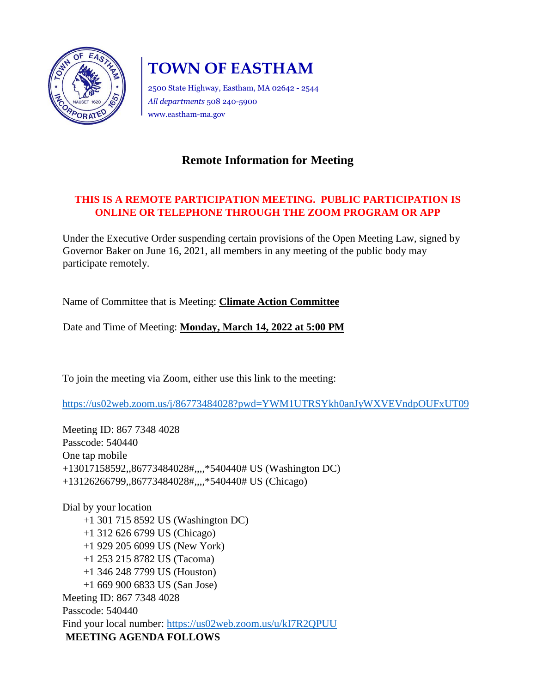

# **TOWN OF EASTHAM**

2500 State Highway, Eastham, MA 02642 - 2544 *All departments* 508 240-5900 www.eastham-ma.gov

# **Remote Information for Meeting**

## **THIS IS A REMOTE PARTICIPATION MEETING. PUBLIC PARTICIPATION IS ONLINE OR TELEPHONE THROUGH THE ZOOM PROGRAM OR APP**

Under the Executive Order suspending certain provisions of the Open Meeting Law, signed by Governor Baker on June 16, 2021, all members in any meeting of the public body may participate remotely.

Name of Committee that is Meeting: **Climate Action Committee** 

Date and Time of Meeting: **Monday, March 14, 2022 at 5:00 PM**

To join the meeting via Zoom, either use this link to the meeting:

<https://us02web.zoom.us/j/86773484028?pwd=YWM1UTRSYkh0anJyWXVEVndpOUFxUT09>

Meeting ID: 867 7348 4028 Passcode: 540440 One tap mobile +13017158592,,86773484028#,,,,\*540440# US (Washington DC) +13126266799,,86773484028#,,,,\*540440# US (Chicago)

Dial by your location +1 301 715 8592 US (Washington DC) +1 312 626 6799 US (Chicago) +1 929 205 6099 US (New York) +1 253 215 8782 US (Tacoma) +1 346 248 7799 US (Houston) +1 669 900 6833 US (San Jose) Meeting ID: 867 7348 4028 Passcode: 540440 Find your local number:<https://us02web.zoom.us/u/kI7R2QPUU> **MEETING AGENDA FOLLOWS**